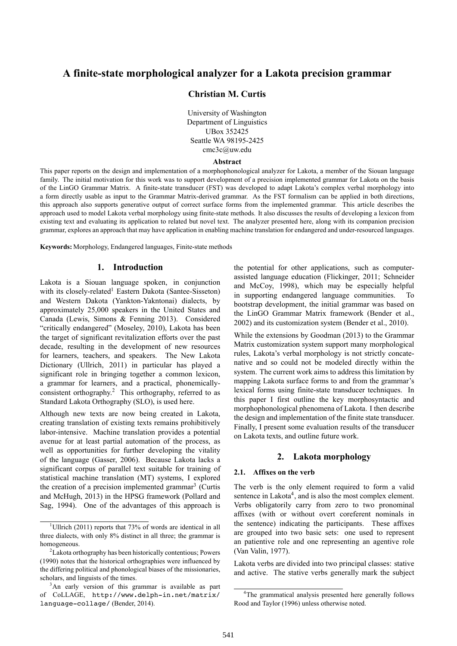# **A finite-state morphological analyzer for a Lakota precision grammar**

### **Christian M. Curtis**

University of Washington Department of Linguistics UBox 352425 Seattle WA 98195-2425 cmc3c@uw.edu

#### **Abstract**

This paper reports on the design and implementation of a morphophonological analyzer for Lakota, a member of the Siouan language family. The initial motivation for this work was to support development of a precision implemented grammar for Lakota on the basis of the LinGO Grammar Matrix. A finite-state transducer (FST) was developed to adapt Lakota's complex verbal morphology into a form directly usable as input to the Grammar Matrix-derived grammar. As the FST formalism can be applied in both directions, this approach also supports generative output of correct surface forms from the implemented grammar. This article describes the approach used to model Lakota verbal morphology using finite-state methods. It also discusses the results of developing a lexicon from existing text and evaluating its application to related but novel text. The analyzer presented here, along with its companion precision grammar, explores an approach that may have application in enabling machine translation for endangered and under-resourced languages.

**Keywords:** Morphology, Endangered languages, Finite-state methods

### **1. Introduction**

Lakota is a Siouan language spoken, in conjunction with its closely-related<sup>1</sup> Eastern Dakota (Santee-Sisseton) and Western Dakota (Yankton-Yakntonai) dialects, by approximately 25,000 speakers in the United States and Canada (Lewis, Simons & Fenning 2013). Considered "critically endangered" (Moseley, 2010), Lakota has been the target of significant revitalization efforts over the past decade, resulting in the development of new resources for learners, teachers, and speakers. The New Lakota Dictionary (Ullrich, 2011) in particular has played a significant role in bringing together a common lexicon, a grammar for learners, and a practical, phonemicallyconsistent orthography.<sup>2</sup> This orthography, referred to as Standard Lakota Orthography (SLO), is used here.

Although new texts are now being created in Lakota, creating translation of existing texts remains prohibitively labor-intensive. Machine translation provides a potential avenue for at least partial automation of the process, as well as opportunities for further developing the vitality of the language (Gasser, 2006). Because Lakota lacks a significant corpus of parallel text suitable for training of statistical machine translation (MT) systems, I explored the creation of a precision implemented grammar<sup>3</sup> (Curtis and McHugh, 2013) in the HPSG framework (Pollard and Sag, 1994). One of the advantages of this approach is the potential for other applications, such as computerassisted language education (Flickinger, 2011; Schneider and McCoy, 1998), which may be especially helpful in supporting endangered language communities. To bootstrap development, the initial grammar was based on the LinGO Grammar Matrix framework (Bender et al., 2002) and its customization system (Bender et al., 2010).

While the extensions by Goodman (2013) to the Grammar Matrix customization system support many morphological rules, Lakota's verbal morphology is not strictly concatenative and so could not be modeled directly within the system. The current work aims to address this limitation by mapping Lakota surface forms to and from the grammar's lexical forms using finite-state transducer techniques. In this paper I first outline the key morphosyntactic and morphophonological phenomena of Lakota. I then describe the design and implementation of the finite state transducer. Finally, I present some evaluation results of the transducer on Lakota texts, and outline future work.

### **2. Lakota morphology**

#### **2.1. Affixes on the verb**

The verb is the only element required to form a valid sentence in Lakota<sup>4</sup>, and is also the most complex element. Verbs obligatorily carry from zero to two pronominal affixes (with or without overt coreferent nominals in the sentence) indicating the participants. These affixes are grouped into two basic sets: one used to represent an patientive role and one representing an agentive role (Van Valin, 1977).

Lakota verbs are divided into two principal classes: stative and active. The stative verbs generally mark the subject

<sup>&</sup>lt;sup>1</sup>Ullrich (2011) reports that 73% of words are identical in all three dialects, with only 8% distinct in all three; the grammar is homogeneous.

<sup>2</sup>Lakota orthography has been historically contentious; Powers (1990) notes that the historical orthographies were influenced by the differing political and phonological biases of the missionaries, scholars, and linguists of the times.

<sup>&</sup>lt;sup>3</sup>An early version of this grammar is available as part of CoLLAGE, http://www.delph-in.net/matrix/ language-collage/ (Bender, 2014).

<sup>4</sup>The grammatical analysis presented here generally follows Rood and Taylor (1996) unless otherwise noted.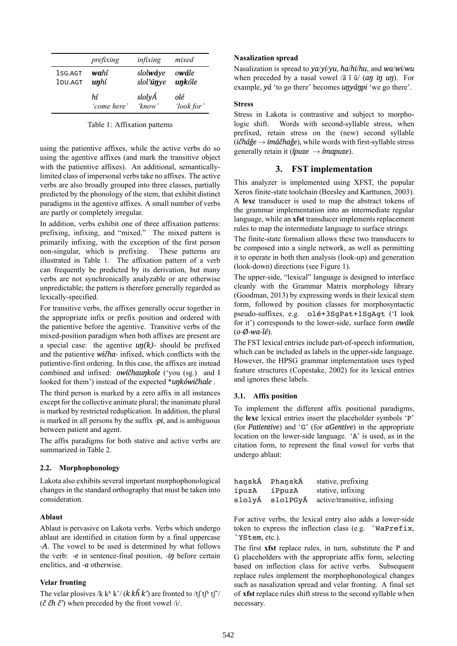|         | prefixing   | infixing  | mixed      |
|---------|-------------|-----------|------------|
| 1SG.AGT | wahí        | slolwáye  | owále      |
| 1DU.AGT | unhí        | slol'únye | unkóle     |
|         | hí          | slolyÁ    | olé        |
|         | 'come here' | 'kmow'    | 'look for' |

Table 1: Affixation patterns

using the patientive affixes, while the active verbs do so using the agentive affixes (and mark the transitive object with the patientive affixes). An additional, semanticallylimited class of impersonal verbs take no affixes. The active verbs are also broadly grouped into three classes, partially predicted by the phonology of the stem, that exhibit distinct paradigms in the agentive affixes. A small number of verbs are partly or completely irregular.

In addition, verbs exhibit one of three affixation patterns: prefixing, infixing, and "mixed." The mixed pattern is primarily infixing, with the exception of the first person non-singular, which is prefixing. These patterns are illustrated in Table 1. The affixation pattern of a verb can frequently be predicted by its derivation, but many verbs are not synchronically analyzable or are otherwise unpredictable; the pattern is therefore generally regarded as lexically-specified.

For transitive verbs, the affixes generally occur together in the appropriate infix or prefix position and ordered with the patientive before the agentive. Transitive verbs of the mixed-position paradigm when both affixes are present are a special case: the agentive *uŋ(k)-* should be prefixed and the patientive *wičha-* infixed, which conflicts with the patientive-first ordering. In this case, the affixes are instead combined and infixed: *owíčhauŋkole* ('you (sg.) and I looked for them') instead of the expected \**uŋkówičhale* .

The third person is marked by a zero affix in all instances except for the collective animate plural; the inanimate plural is marked by restricted reduplication. In addition, the plural is marked in all persons by the suffix *-pi*, and is ambiguous between patient and agent.

The affix paradigms for both stative and active verbs are summarized in Table 2.

### **2.2. Morphophonology**

Lakota also exhibits several important morphophonological changes in the standard orthography that must be taken into consideration.

### **Ablaut**

Ablaut is pervasive on Lakota verbs. Verbs which undergo ablaut are identified in citation form by a final uppercase *-A*. The vowel to be used is determined by what follows the verb: *-e* in sentence-final position, *-iŋ* before certain enclitics, and *-a* otherwise.

# **Velar fronting**

The velar plosives /k k<sup>x</sup> k'/ (*k kȟ k*') are fronted to /t  $\int$ t $\int$ <sup>n</sup> t $\int$ <sup>'</sup>/ (*č čh č'*) when preceded by the front vowel /i/.

### **Nasalization spread**

Nasalization is spread to *ya*/*yi*/*yu*, *ha*/*hi*/*hu*, and *wa*/*wi*/*wu* when preceded by a nasal vowel /ã ĩ ũ/ (*aŋ iŋ uŋ*). For example, *yá* 'to go there' becomes *uŋyáŋpi* 'we go there'.

### **Stress**

Stress in Lakota is contrastive and subject to morphologic shift. Words with second-syllable stress, when prefixed, retain stress on the (new) second syllable (*ičháǧe → imáčhaǧe*), while words with first-syllable stress generally retain it (*ípuze → ímapuze*).

# **3. FST implementation**

This analyzer is implemented using XFST, the popular Xerox finite-state toolchain (Beesley and Karttunen, 2003). A **lexc** transducer is used to map the abstract tokens of the grammar implementation into an intermediate regular language, while an **xfst** transducer implements replacement rules to map the intermediate language to surface strings.

The finite-state formalism allows these two transducers to be composed into a single network, as well as permitting it to operate in both then analysis (look-up) and generation (look-down) directions (see Figure 1).

The upper-side, "lexical" language is designed to interface cleanly with the Grammar Matrix morphology library (Goodman, 2013) by expressing words in their lexical stem form, followed by position classes for morphosyntactic pseudo-suffixes, e.g. olé+3SgPat+1SgAgt ('I look for it') corresponds to the lower-side, surface form *owále* (*o-Ø-wa-lé*).

The FST lexical entries include part-of-speech information, which can be included as labels in the upper-side language. However, the HPSG grammar implementation uses typed feature structures (Copestake, 2002) for its lexical entries and ignores these labels.

### **3.1. Affix position**

To implement the different affix positional paradigms, the **lexc** lexical entries insert the placeholder symbols 'P' (for *Patientive*) and 'G' (for *aGentive*) in the appropriate location on the lower-side language. 'A' is used, as in the citation form, to represent the final vowel for verbs that undergo ablaut:

| hanskÁ | PhanskÁ | stative, prefixing                   |
|--------|---------|--------------------------------------|
| ípuzA  | íPpuzA  | stative, infixing                    |
| slolyÁ |         | slolPGyÁ active/transitive, infixing |

For active verbs, the lexical entry also adds a lower-side token to express the inflection class (e.g. ˆWaPrefix, ˆYStem, etc.).

The first **xfst** replace rules, in turn, substitute the P and G placeholders with the appropriate affix form, selecting based on inflection class for active verbs. Subsequent replace rules implement the morphophonological changes such as nasalization spread and velar fronting. A final set of **xfst** replace rules shift stress to the second syllable when necessary.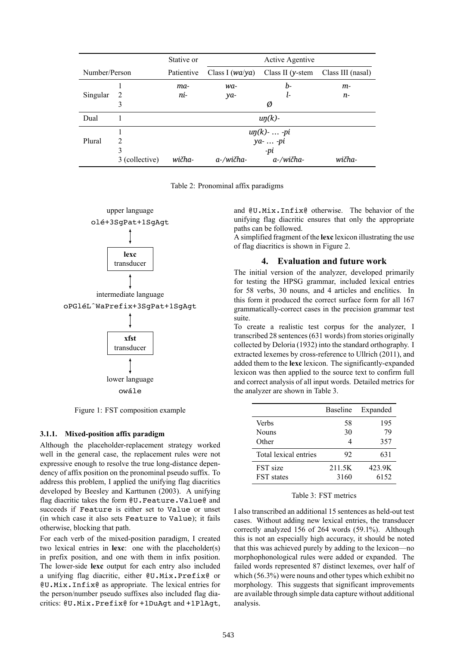|               |                | Stative or                         | <b>Active Agentive</b>                   |                      |                   |
|---------------|----------------|------------------------------------|------------------------------------------|----------------------|-------------------|
| Number/Person |                | Patientive                         | Class I $(wa/ya)$                        | Class II ( $y$ -stem | Class III (nasal) |
|               |                | ma-                                | wa-                                      | b-                   | m-                |
| Singular      | 2              | ni-                                | ya-                                      | ŀ-                   | n-                |
|               | 3              |                                    | Ø                                        |                      |                   |
| Dual          |                | $\mathfrak{u}\eta(\mathfrak{k})$ - |                                          |                      |                   |
|               |                |                                    |                                          |                      |                   |
| Plural        | $\overline{2}$ |                                    | $\frac{u\eta(k)- -pi}{ya -  -pi}$<br>-pi |                      |                   |
|               | 3              |                                    |                                          |                      |                   |
|               | 3 (collective) | wičha-                             | a-/wičha-                                | a-/wičha-            | wičha-            |

Table 2: Pronominal affix paradigms



Figure 1: FST composition example

### **3.1.1. Mixed-position affix paradigm**

Although the placeholder-replacement strategy worked well in the general case, the replacement rules were not expressive enough to resolve the true long-distance dependency of affix position on the pronominal pseudo suffix. To address this problem, I applied the unifying flag diacritics developed by Beesley and Karttunen (2003). A unifying flag diacritic takes the form @U.Feature.Value@ and succeeds if Feature is either set to Value or unset (in which case it also sets Feature to Value); it fails otherwise, blocking that path.

For each verb of the mixed-position paradigm, I created two lexical entries in **lexc**: one with the placeholder(s) in prefix position, and one with them in infix position. The lower-side **lexc** output for each entry also included a unifying flag diacritic, either @U.Mix.Prefix@ or @U.Mix.Infix@ as appropriate. The lexical entries for the person/number pseudo suffixes also included flag diacritics: @U.Mix.Prefix@ for +1DuAgt and +1PlAgt, and @U.Mix.Infix@ otherwise. The behavior of the unifying flag diacritic ensures that only the appropriate paths can be followed.

A simplified fragment of the **lexc** lexicon illustrating the use of flag diacritics is shown in Figure 2.

#### **4. Evaluation and future work**

The initial version of the analyzer, developed primarily for testing the HPSG grammar, included lexical entries for 58 verbs, 30 nouns, and 4 articles and enclitics. In this form it produced the correct surface form for all 167 grammatically-correct cases in the precision grammar test suite.

To create a realistic test corpus for the analyzer, I transcribed 28 sentences (631 words) from stories originally collected by Deloria (1932) into the standard orthography. I extracted lexemes by cross-reference to Ullrich (2011), and added them to the **lexc** lexicon. The significantly-expanded lexicon was then applied to the source text to confirm full and correct analysis of all input words. Detailed metrics for the analyzer are shown in Table 3.

|                       | <b>Baseline</b> | Expanded |
|-----------------------|-----------------|----------|
| <b>Verbs</b>          | 58              | 195      |
| <b>Nouns</b>          | 30              | 79       |
| Other                 |                 | 357      |
| Total lexical entries | 92              | 631      |
| FST size              | 211.5K          | 423.9K   |
| <b>FST</b> states     | 3160            | 6152     |

#### Table 3: FST metrics

I also transcribed an additional 15 sentences as held-out test cases. Without adding new lexical entries, the transducer correctly analyzed 156 of 264 words (59.1%). Although this is not an especially high accuracy, it should be noted that this was achieved purely by adding to the lexicon—no morphophonological rules were added or expanded. The failed words represented 87 distinct lexemes, over half of which (56.3%) were nouns and other types which exhibit no morphology. This suggests that significant improvements are available through simple data capture without additional analysis.